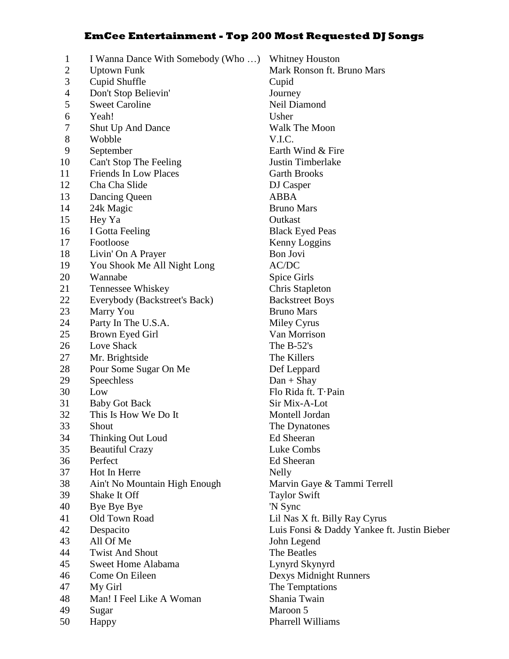## **EmCee Entertainment - Top 200 Most Requested DJ Songs**

1 I Wanna Dance With Somebody (Who …) Whitney Houston 2 Uptown Funk Mark Ronson ft. Bruno Mars 3 Cupid Shuffle Cupid 4 Don't Stop Believin' Journey 5 Sweet Caroline Neil Diamond 6 Yeah! Usher 7 Shut Up And Dance Walk The Moon<br>8 Wobble VIC Wobble **V.I.C.** 9 September Earth Wind & Fire 10 Can't Stop The Feeling Justin Timberlake 11 Friends In Low Places Garth Brooks 12 Cha Cha Slide DJ Casper 13 Dancing Queen ABBA 14 24k Magic Bruno Mars 15 Hey Ya Outkast 16 I Gotta Feeling Black Eyed Peas 17 Footloose Kenny Loggins 18 Livin' On A Prayer Bon Jovi 19 You Shook Me All Night Long AC/DC 20 Wannabe Spice Girls 21 Tennessee Whiskey Chris Stapleton 22 Everybody (Backstreet's Back) Backstreet Boys 23 Marry You Bruno Mars 24 Party In The U.S.A. Miley Cyrus 25 Brown Eyed Girl Van Morrison 26 Love Shack The B-52's 27 Mr. Brightside The Killers 28 Pour Some Sugar On Me Def Leppard 29 Speechless Dan + Shay 30 Low Flo Rida ft. T·Pain 31 Baby Got Back Sir Mix-A-Lot 32 This Is How We Do It Montell Jordan 33 Shout The Dynatones 34 Thinking Out Loud Ed Sheeran 35 Beautiful Crazy Luke Combs 36 Perfect Ed Sheeran 37 Hot In Herre Nelly 38 Ain't No Mountain High Enough Marvin Gaye & Tammi Terrell 39 Shake It Off Taylor Swift 40 Bye Bye Bye 'N Sync 41 Old Town Road Lil Nas X ft. Billy Ray Cyrus 42 Despacito Luis Fonsi & Daddy Yankee ft. Justin Bieber 43 All Of Me John Legend 44 Twist And Shout The Beatles 45 Sweet Home Alabama Lynyrd Skynyrd 46 Come On Eileen Dexys Midnight Runners 47 My Girl The Temptations 48 Man! I Feel Like A Woman Shania Twain 49 Sugar Maroon 5 50 Happy Pharrell Williams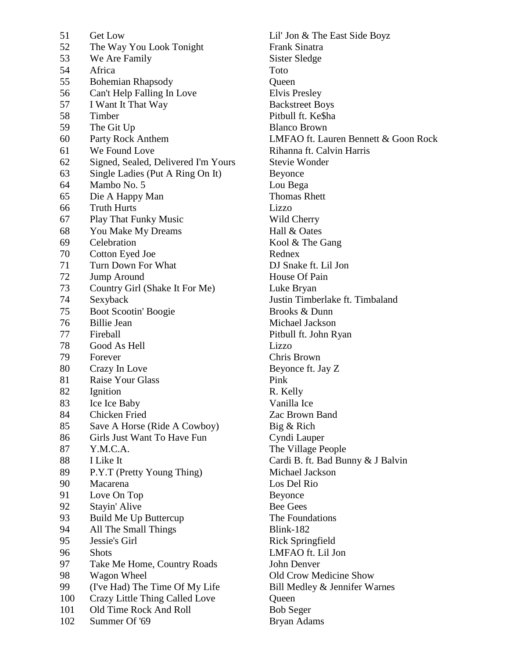| 51  | <b>Get Low</b>                      | Lil' Jon & The       |
|-----|-------------------------------------|----------------------|
| 52  | The Way You Look Tonight            | Frank Sinatra        |
| 53  | We Are Family                       | Sister Sledge        |
| 54  | Africa                              | Toto                 |
| 55  | <b>Bohemian Rhapsody</b>            | Queen                |
| 56  | Can't Help Falling In Love          | Elvis Presley        |
| 57  | I Want It That Way                  | <b>Backstreet Bo</b> |
| 58  | Timber                              | Pitbull ft. Ke\$     |
| 59  | The Git Up                          | <b>Blanco Brown</b>  |
| 60  | Party Rock Anthem                   | LMFAO ft. La         |
| 61  | We Found Love                       | Rihanna ft. Ca       |
| 62  | Signed, Sealed, Delivered I'm Yours | Stevie Wonde         |
| 63  | Single Ladies (Put A Ring On It)    | Beyonce              |
| 64  | Mambo No. 5                         | Lou Bega             |
| 65  | Die A Happy Man                     | <b>Thomas Rhett</b>  |
| 66  | <b>Truth Hurts</b>                  | Lizzo                |
| 67  | <b>Play That Funky Music</b>        | Wild Cherry          |
| 68  | You Make My Dreams                  | Hall & Oates         |
| 69  | Celebration                         | Kool & The G         |
| 70  | Cotton Eyed Joe                     | Rednex               |
| 71  | Turn Down For What                  | DJ Snake ft. L       |
| 72  | Jump Around                         | House Of Pair        |
| 73  | Country Girl (Shake It For Me)      | Luke Bryan           |
| 74  | Sexyback                            | Justin Timberl       |
| 75  | Boot Scootin' Boogie                | Brooks & Dur         |
| 76  | <b>Billie Jean</b>                  | Michael Jacks        |
| 77  | Fireball                            | Pitbull ft. John     |
| 78  | Good As Hell                        | Lizzo                |
| 79  | Forever                             | Chris Brown          |
| 80  | Crazy In Love                       | Beyonce ft. Ja       |
| 81  | Raise Your Glass                    | Pink                 |
| 82  | Ignition                            | R. Kelly             |
| 83  | Ice Ice Baby                        | Vanilla Ice          |
| 84  | Chicken Fried                       | Zac Brown Ba         |
| 85  | Save A Horse (Ride A Cowboy)        | Big & Rich           |
| 86  | Girls Just Want To Have Fun         | Cyndi Lauper         |
| 87  | Y.M.C.A.                            | The Village Po       |
| 88  | I Like It                           | Cardi B. ft. Ba      |
| 89  | P.Y.T (Pretty Young Thing)          | Michael Jacks        |
| 90  | Macarena                            | Los Del Rio          |
| 91  | Love On Top                         | Beyonce              |
| 92  | Stayin' Alive                       | <b>Bee Gees</b>      |
| 93  | Build Me Up Buttercup               | The Foundation       |
| 94  | All The Small Things                | Blink-182            |
| 95  | Jessie's Girl                       | Rick Springfie       |
| 96  | <b>Shots</b>                        | LMFAO ft. Li         |
| 97  | Take Me Home, Country Roads         | John Denver          |
| 98  | Wagon Wheel                         | Old Crow Me          |
| 99  | (I've Had) The Time Of My Life      | Bill Medley &        |
| 100 | Crazy Little Thing Called Love      | Queen                |
| 101 | Old Time Rock And Roll              | <b>Bob Seger</b>     |
| 102 | Summer Of '69                       | Bryan Adams          |
|     |                                     |                      |

Lil' Jon & The East Side Boyz Frank Sinatra Sister Sledge Elvis Presley **Backstreet Boys** Pitbull ft. Ke\$ha Blanco Brown LMFAO ft. Lauren Bennett & Goon Rock Rihanna ft. Calvin Harris rs Stevie Wonder Beyonce Lou Bega Thomas Rhett Wild Cherry Hall & Oates Kool & The Gang Rednex DJ Snake ft. Lil Jon House Of Pain Luke Bryan Justin Timberlake ft. Timbaland Brooks & Dunn Michael Jackson Pitbull ft. John Ryan Chris Brown Beyonce ft. Jay Z R. Kelly Vanilla Ice Zac Brown Band Big & Rich Cyndi Lauper The Village People Cardi B. ft. Bad Bunny & J Balvin Michael Jackson Los Del Rio Beyonce Bee Gees The Foundations  $Blink-182$ Rick Springfield LMFAO ft. Lil Jon John Denver Old Crow Medicine Show Bill Medley & Jennifer Warnes Queen Bob Seger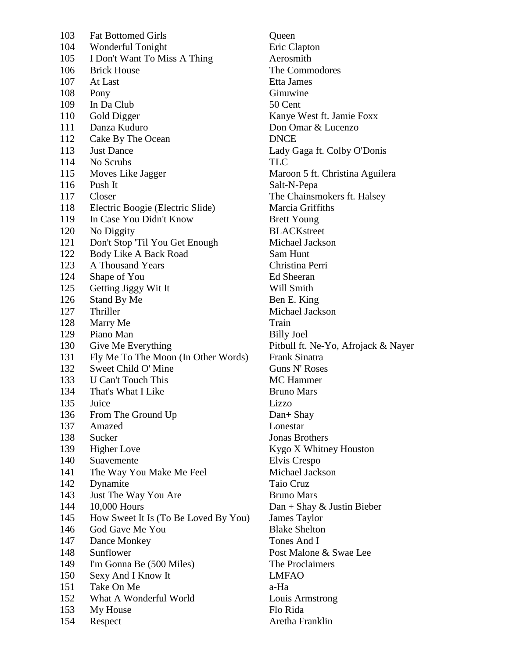| 103 | <b>Fat Bottomed Girls</b>                                  | Queen                                  |
|-----|------------------------------------------------------------|----------------------------------------|
| 104 | Wonderful Tonight                                          | Eric Clapton                           |
| 105 | I Don't Want To Miss A Thing                               | Aerosmith                              |
| 106 | <b>Brick House</b>                                         | The Commodor                           |
| 107 | At Last                                                    | Etta James                             |
| 108 | Pony                                                       | Ginuwine                               |
| 109 | In Da Club                                                 | 50 Cent                                |
| 110 | <b>Gold Digger</b>                                         | Kanye West ft. J                       |
| 111 | Danza Kuduro                                               | Don Omar & Lu                          |
| 112 | Cake By The Ocean                                          | <b>DNCE</b>                            |
| 113 | <b>Just Dance</b>                                          | Lady Gaga ft. C                        |
| 114 | No Scrubs                                                  | <b>TLC</b>                             |
| 115 | Moves Like Jagger                                          | Maroon 5 ft. Ch                        |
| 116 | Push It                                                    | Salt-N-Pepa                            |
| 117 | Closer                                                     | The Chainsmoke                         |
| 118 | Electric Boogie (Electric Slide)                           | Marcia Griffiths                       |
| 119 | In Case You Didn't Know                                    | <b>Brett Young</b>                     |
| 120 | No Diggity                                                 | <b>BLACKstreet</b>                     |
| 121 | Don't Stop 'Til You Get Enough                             | Michael Jacksor                        |
| 122 | Body Like A Back Road                                      | Sam Hunt                               |
| 123 | <b>A Thousand Years</b>                                    | Christina Perri                        |
| 124 | Shape of You                                               | <b>Ed Sheeran</b>                      |
| 125 | Getting Jiggy Wit It                                       | Will Smith                             |
| 126 | Stand By Me                                                | Ben E. King                            |
| 127 | Thriller                                                   | Michael Jacksor                        |
| 128 |                                                            | Train                                  |
| 129 | Marry Me<br>Piano Man                                      |                                        |
| 130 |                                                            | <b>Billy Joel</b><br>Pitbull ft. Ne-Yo |
| 131 | Give Me Everything                                         | Frank Sinatra                          |
| 132 | Fly Me To The Moon (In Other Words)<br>Sweet Child O' Mine | Guns N' Roses                          |
|     | <b>U</b> Can't Touch This                                  | <b>MC</b> Hammer                       |
| 133 |                                                            |                                        |
| 134 | That's What I Like                                         | <b>Bruno Mars</b>                      |
| 135 | Juice                                                      | Lizzo                                  |
| 136 | From The Ground Up                                         | $Dan + Shay$                           |
| 137 | Amazed                                                     | Lonestar                               |
| 138 | Sucker                                                     | <b>Jonas Brothers</b>                  |
| 139 | <b>Higher Love</b>                                         | Kygo X Whitne                          |
| 140 | Suavemente                                                 | Elvis Crespo                           |
| 141 | The Way You Make Me Feel                                   | Michael Jacksor                        |
| 142 | Dynamite                                                   | Taio Cruz                              |
| 143 | Just The Way You Are                                       | <b>Bruno Mars</b>                      |
| 144 | 10,000 Hours                                               | Dan + Shay & J                         |
| 145 | How Sweet It Is (To Be Loved By You)                       | James Taylor                           |
| 146 | God Gave Me You                                            | <b>Blake Shelton</b>                   |
| 147 | Dance Monkey                                               | Tones And I                            |
| 148 | Sunflower                                                  | Post Malone & :                        |
| 149 | I'm Gonna Be (500 Miles)                                   | The Proclaimers                        |
| 150 | Sexy And I Know It                                         | <b>LMFAO</b>                           |
| 151 | Take On Me                                                 | a-Ha                                   |
| 152 | What A Wonderful World                                     | Louis Armstrong                        |
| 153 | My House                                                   | Flo Rida                               |
| 154 | Respect                                                    | Aretha Franklin                        |

Queen **Eric Clapton** Aerosmith The Commodores Etta James Ginuwine 50 Cent Kanye West ft. Jamie Foxx Don Omar & Lucenzo Lady Gaga ft. Colby O'Donis Maroon 5 ft. Christina Aguilera Salt-N-Pepa The Chainsmokers ft. Halsey Marcia Griffiths **Brett Young BLACKstreet** Michael Jackson Sam Hunt Christina Perri Ed Sheeran Will Smith Ben E. King Michael Jackson **Billy Joel** Pitbull ft. Ne-Yo, Afrojack & Nayer rds) Frank Sinatra Guns N' Roses MC Hammer **Bruno Mars** Dan+ Shay Lonestar Jonas Brothers Kygo X Whitney Houston Elvis Crespo Michael Jackson Taio Cruz Bruno Mars  $Dan + Shay & Justin Bieber$ You) James Taylor **Blake Shelton** Tones And I Post Malone & Swae Lee The Proclaimers LMFAO Louis Armstrong Flo Rida